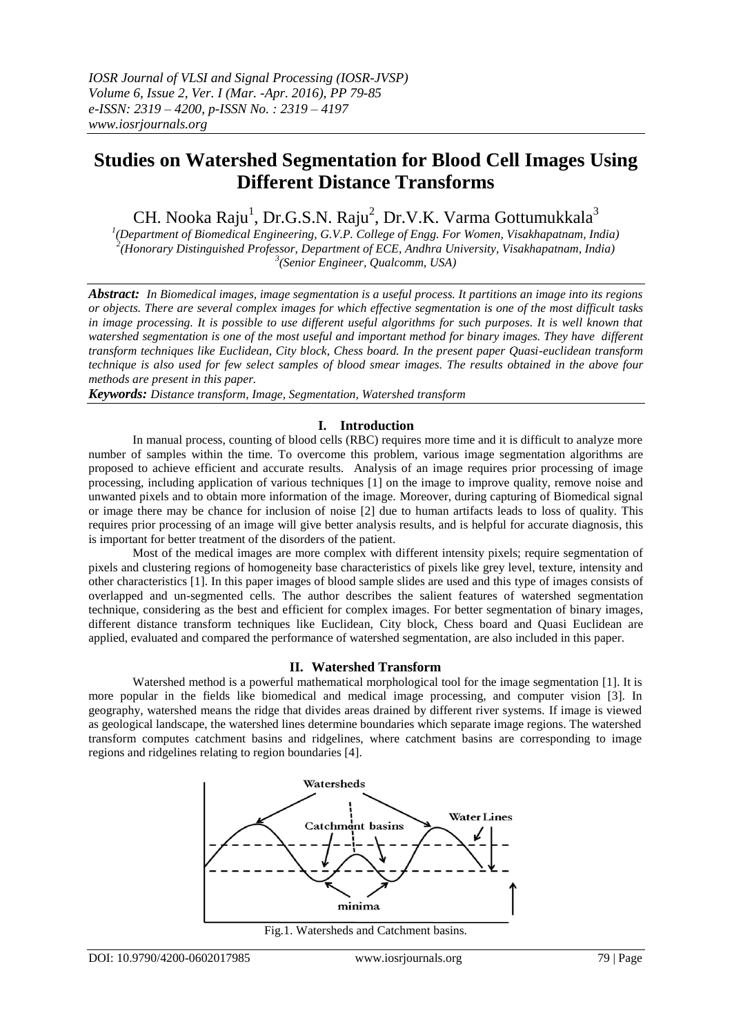# **Studies on Watershed Segmentation for Blood Cell Images Using Different Distance Transforms**

CH. Nooka Raju<sup>1</sup>, Dr.G.S.N. Raju<sup>2</sup>, Dr.V.K. Varma Gottumukkala<sup>3</sup>

*1 (Department of Biomedical Engineering, G.V.P. College of Engg. For Women, Visakhapatnam, India) 2 (Honorary Distinguished Professor, Department of ECE, Andhra University, Visakhapatnam, India) 3 (Senior Engineer, Qualcomm, USA)*

*Abstract: In Biomedical images, image segmentation is a useful process. It partitions an image into its regions or objects. There are several complex images for which effective segmentation is one of the most difficult tasks* in image processing. It is possible to use different useful algorithms for such purposes. It is well known that *watershed segmentation is one of the most useful and important method for binary images. They have different transform techniques like Euclidean, City block, Chess board. In the present paper Quasi-euclidean transform technique is also used for few select samples of blood smear images. The results obtained in the above four methods are present in this paper.*

*Keywords: Distance transform, Image, Segmentation, Watershed transform*

# **I. Introduction**

In manual process, counting of blood cells (RBC) requires more time and it is difficult to analyze more number of samples within the time. To overcome this problem, various image segmentation algorithms are proposed to achieve efficient and accurate results. Analysis of an image requires prior processing of image processing, including application of various techniques [1] on the image to improve quality, remove noise and unwanted pixels and to obtain more information of the image. Moreover, during capturing of Biomedical signal or image there may be chance for inclusion of noise [2] due to human artifacts leads to loss of quality. This requires prior processing of an image will give better analysis results, and is helpful for accurate diagnosis, this is important for better treatment of the disorders of the patient.

Most of the medical images are more complex with different intensity pixels; require segmentation of pixels and clustering regions of homogeneity base characteristics of pixels like grey level, texture, intensity and other characteristics [1]. In this paper images of blood sample slides are used and this type of images consists of overlapped and un-segmented cells. The author describes the salient features of watershed segmentation technique, considering as the best and efficient for complex images. For better segmentation of binary images, different distance transform techniques like Euclidean, City block, Chess board and Quasi Euclidean are applied, evaluated and compared the performance of watershed segmentation, are also included in this paper.

## **II. Watershed Transform**

Watershed method is a powerful mathematical morphological tool for the image segmentation [1]. It is more popular in the fields like biomedical and medical image processing, and computer vision [3]. In geography, watershed means the ridge that divides areas drained by different river systems. If image is viewed as geological landscape, the watershed lines determine boundaries which separate image regions. The watershed transform computes catchment basins and ridgelines, where catchment basins are corresponding to image regions and ridgelines relating to region boundaries [4].



Fig.1. Watersheds and Catchment basins.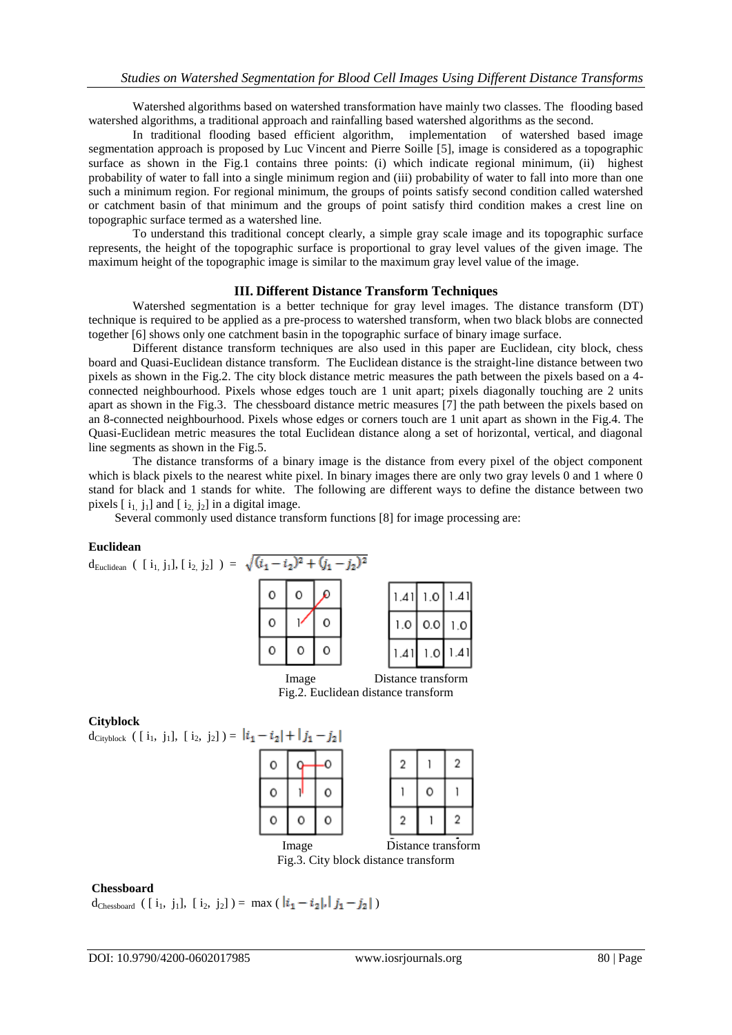Watershed algorithms based on watershed transformation have mainly two classes. The flooding based watershed algorithms, a traditional approach and rainfalling based watershed algorithms as the second.

In traditional flooding based efficient algorithm, implementation of watershed based image segmentation approach is proposed by Luc Vincent and Pierre Soille [5], image is considered as a topographic surface as shown in the Fig.1 contains three points: (i) which indicate regional minimum, (ii) highest probability of water to fall into a single minimum region and (iii) probability of water to fall into more than one such a minimum region. For regional minimum, the groups of points satisfy second condition called watershed or catchment basin of that minimum and the groups of point satisfy third condition makes a crest line on topographic surface termed as a watershed line.

To understand this traditional concept clearly, a simple gray scale image and its topographic surface represents, the height of the topographic surface is proportional to gray level values of the given image. The maximum height of the topographic image is similar to the maximum gray level value of the image.

#### **III. Different Distance Transform Techniques**

Watershed segmentation is a better technique for gray level images. The distance transform (DT) technique is required to be applied as a pre-process to watershed transform, when two black blobs are connected together [6] shows only one catchment basin in the topographic surface of binary image surface.

Different distance transform techniques are also used in this paper are Euclidean, city block, chess board and Quasi-Euclidean distance transform. The Euclidean distance is the straight-line distance between two pixels as shown in the Fig.2. The city block distance metric measures the path between the pixels based on a 4 connected neighbourhood. Pixels whose edges touch are 1 unit apart; pixels diagonally touching are 2 units apart as shown in the Fig.3. The chessboard distance metric measures [7] the path between the pixels based on an 8-connected neighbourhood. Pixels whose edges or corners touch are 1 unit apart as shown in the Fig.4. The Quasi-Euclidean metric measures the total Euclidean distance along a set of horizontal, vertical, and diagonal line segments as shown in the Fig.5.

The distance transforms of a binary image is the distance from every pixel of the object component which is black pixels to the nearest white pixel. In binary images there are only two gray levels 0 and 1 where 0 stand for black and 1 stands for white. The following are different ways to define the distance between two pixels  $[i_1, j_1]$  and  $[i_2, j_2]$  in a digital image.

Several commonly used distance transform functions [8] for image processing are:

#### **Euclidean**



#### **Cityblock**

 $d_{\text{Cityblock}}$  ( [ i<sub>1</sub>, j<sub>1</sub>], [ i<sub>2</sub>, j<sub>2</sub>] ) =  $|i_1 - i_2| + |j_1 - j_2|$ 



Fig.3. City block distance transform

#### **Chessboard**

d<sub>Chessboard</sub> ( [ i<sub>1</sub>, j<sub>1</sub>], [ i<sub>2</sub>, j<sub>2</sub>] ) = max (  $|i_1 - i_2|$ ,  $|j_1 - j_2|$  )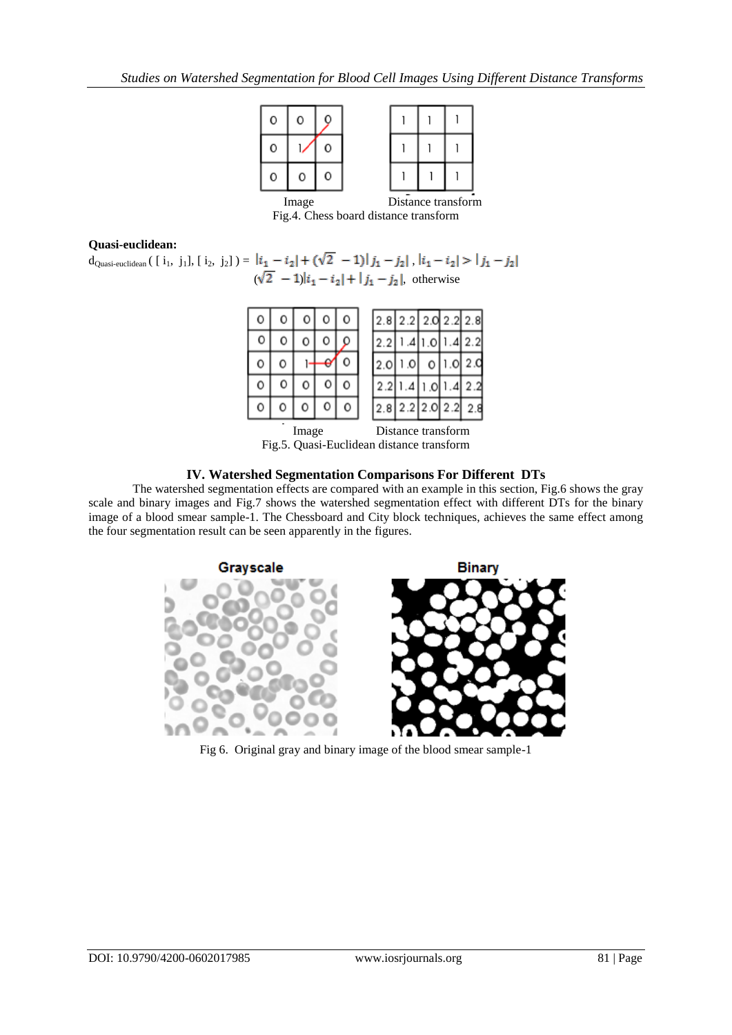

Fig.4. Chess board distance transform

## **Quasi-euclidean:**

 $d_{\text{Quasi-euclidean}}\left( \begin{bmatrix} i_1, j_1 \end{bmatrix}, \begin{bmatrix} i_2, j_2 \end{bmatrix} \right) = \left| i_1 - i_2 \right| + \left( \sqrt{2} - 1 \right) \left| j_1 - j_2 \right|, \left| i_1 - i_2 \right| > \left| j_1 - j_2 \right|$  $(\sqrt{2} - 1) |i_1 - i_2| + |j_1 - j_2|$ , otherwise



Fig.5. Quasi-Euclidean distance transform

### **IV. Watershed Segmentation Comparisons For Different DTs**

The watershed segmentation effects are compared with an example in this section, Fig.6 shows the gray scale and binary images and Fig.7 shows the watershed segmentation effect with different DTs for the binary image of a blood smear sample-1. The Chessboard and City block techniques, achieves the same effect among the four segmentation result can be seen apparently in the figures.



Fig 6. Original gray and binary image of the blood smear sample-1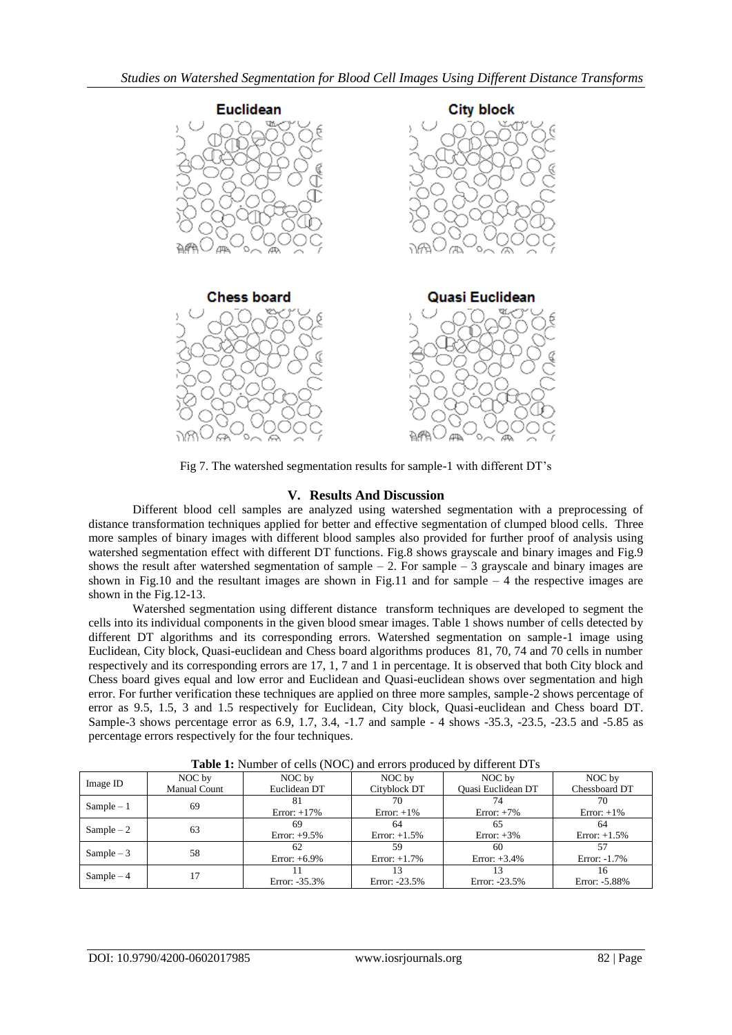

Fig 7. The watershed segmentation results for sample-1 with different DT's

# **V. Results And Discussion**

Different blood cell samples are analyzed using watershed segmentation with a preprocessing of distance transformation techniques applied for better and effective segmentation of clumped blood cells. Three more samples of binary images with different blood samples also provided for further proof of analysis using watershed segmentation effect with different DT functions. Fig.8 shows grayscale and binary images and Fig.9 shows the result after watershed segmentation of sample  $-2$ . For sample  $-3$  grayscale and binary images are shown in Fig.10 and the resultant images are shown in Fig.11 and for sample  $-4$  the respective images are shown in the Fig.12-13.

Watershed segmentation using different distance transform techniques are developed to segment the cells into its individual components in the given blood smear images. Table 1 shows number of cells detected by different DT algorithms and its corresponding errors. Watershed segmentation on sample-1 image using Euclidean, City block, Quasi-euclidean and Chess board algorithms produces 81, 70, 74 and 70 cells in number respectively and its corresponding errors are 17, 1, 7 and 1 in percentage. It is observed that both City block and Chess board gives equal and low error and Euclidean and Quasi-euclidean shows over segmentation and high error. For further verification these techniques are applied on three more samples, sample-2 shows percentage of error as 9.5, 1.5, 3 and 1.5 respectively for Euclidean, City block, Quasi-euclidean and Chess board DT. Sample-3 shows percentage error as 6.9, 1.7, 3.4, -1.7 and sample - 4 shows -35.3, -23.5, -23.5 and -5.85 as percentage errors respectively for the four techniques.

| <b>There If</b> Hamon of cemp $(119C)$ and cribic produced by afficient <b>D</b> 19 |                     |                 |                 |                    |                 |
|-------------------------------------------------------------------------------------|---------------------|-----------------|-----------------|--------------------|-----------------|
| Image ID                                                                            | NOC by              | NOC by          | NOC by          | NOC by             | NOC by          |
|                                                                                     | <b>Manual Count</b> | Euclidean DT    | Cityblock DT    | Quasi Euclidean DT | Chessboard DT   |
| $Sample-1$                                                                          | 69                  |                 | 70              |                    | 70              |
|                                                                                     |                     | Error: $+17\%$  | Error: $+1\%$   | Error: $+7\%$      | Error: $+1\%$   |
| Sample $-2$                                                                         | 63                  | 69              | 64              | 65                 | -64             |
|                                                                                     |                     | Error: $+9.5\%$ | Error: $+1.5\%$ | Error: $+3\%$      | Error: $+1.5\%$ |
| Sample $-3$                                                                         | 58                  | 62              | 59              | 60                 | 57              |
|                                                                                     |                     | Error: $+6.9\%$ | Error: $+1.7\%$ | Error: $+3.4\%$    | Error: -1.7%    |
| $Sample-4$                                                                          |                     |                 |                 |                    |                 |
|                                                                                     |                     | Error: -35.3%   | Error: -23.5%   | Error: $-23.5%$    | Error: -5.88%   |

**Table 1:** Number of cells (NOC) and errors produced by different DTs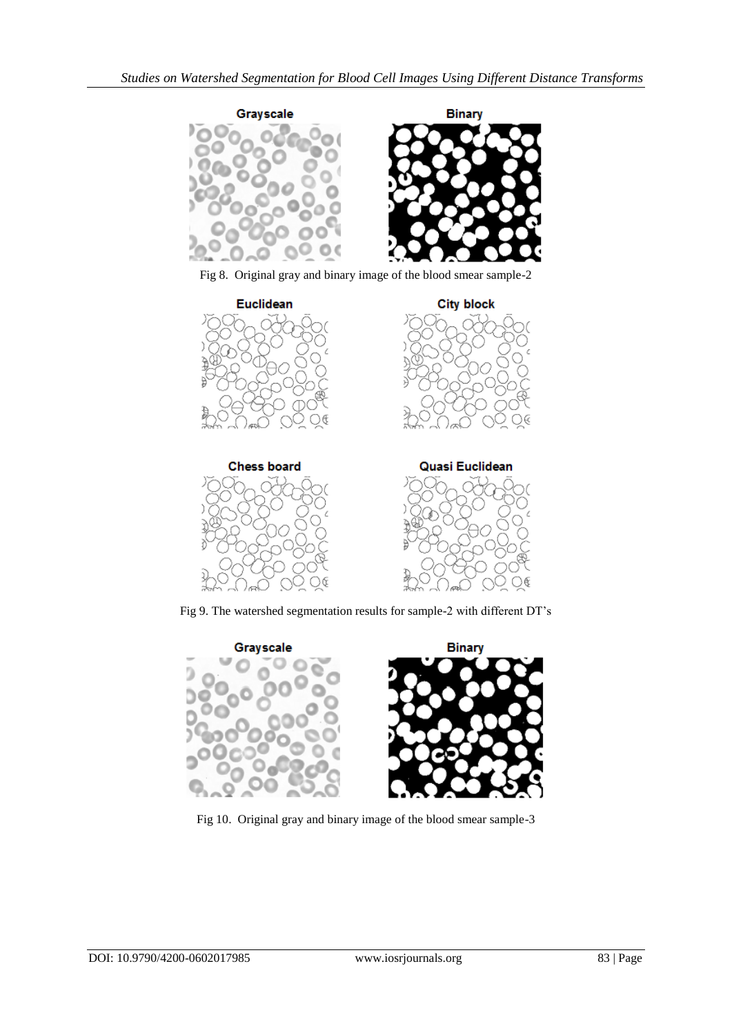

Fig 8. Original gray and binary image of the blood smear sample-2



Fig 9. The watershed segmentation results for sample-2 with different DT's



Fig 10. Original gray and binary image of the blood smear sample-3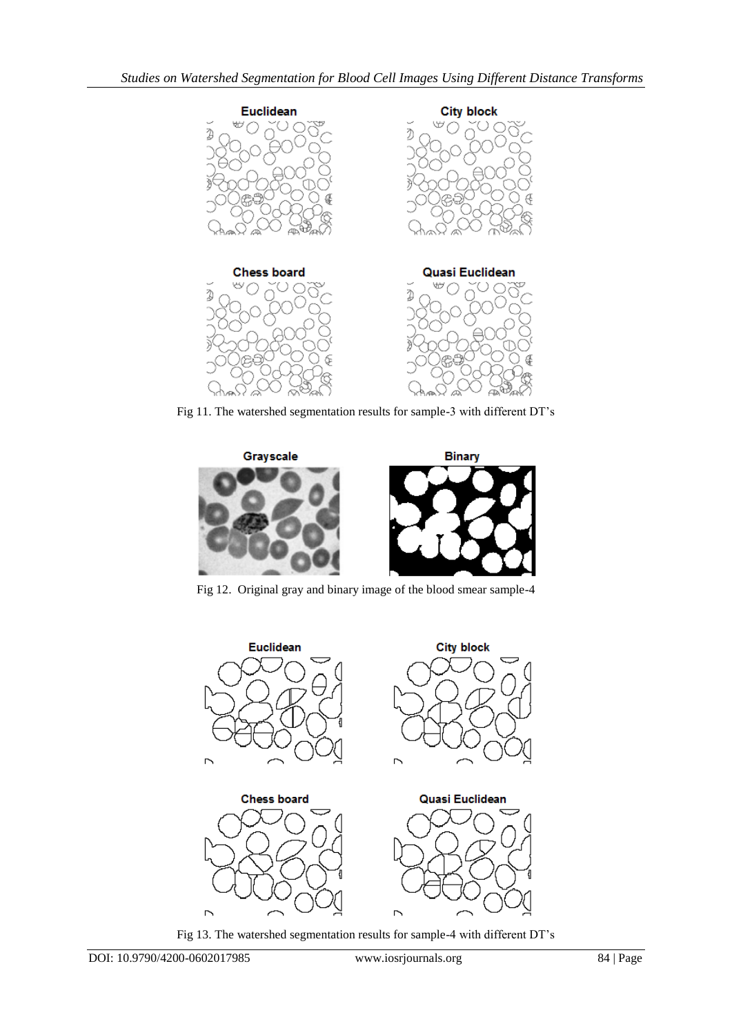

Fig 11. The watershed segmentation results for sample-3 with different DT's



Fig 12. Original gray and binary image of the blood smear sample-4



Fig 13. The watershed segmentation results for sample-4 with different DT's